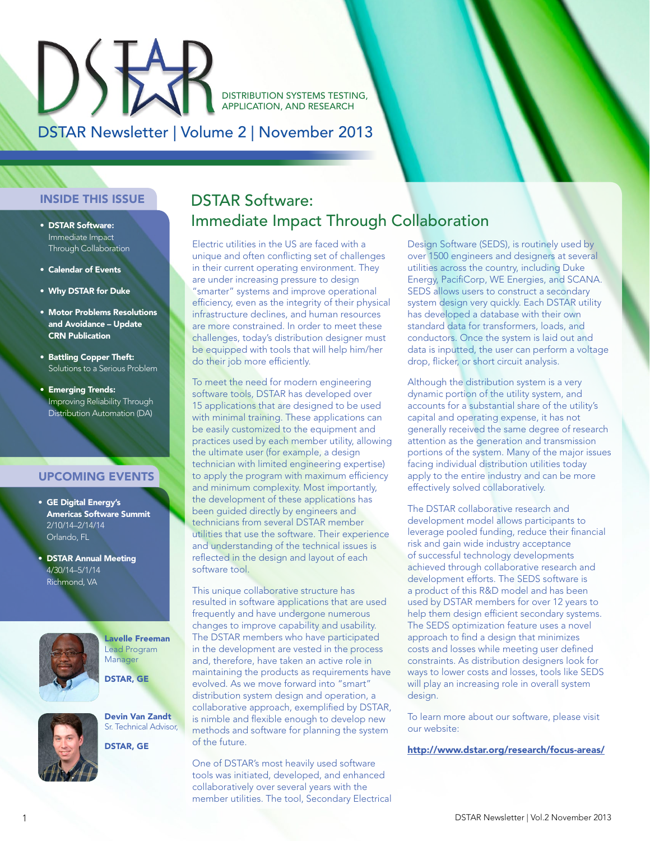Distribution Systems Testing, Application, and Research

## DSTAR Newsletter | Volume 2 | November 2013

## Inside this Issue

• **DSTAR Software:** Immediate Impact Through Collaboration

 $DS$ 

- • Calendar of Events
- • Why DSTAR for Duke
- • Motor Problems Resolutions and Avoidance – Update CRN Publication
- • Battling Copper Theft: Solutions to a Serious Problem
- • Emerging Trends: Improving Reliability Through Distribution Automation (DA)

### Upcoming Events

- • GE Digital Energy's Americas Software Summit 2/10/14–2/14/14 Orlando, FL
- **DSTAR Annual Meeting** 4/30/14–5/1/14 Richmond, VA



Lavelle Freeman Lead Program Manager DSTAR, GE

Devin Van Zandt Sr. Technical Advisor,

DSTAR, GE



DSTAR Software: Immediate Impact Through Collaboration

Electric utilities in the US are faced with a unique and often conflicting set of challenges in their current operating environment. They are under increasing pressure to design "smarter" systems and improve operational efficiency, even as the integrity of their physical infrastructure declines, and human resources are more constrained. In order to meet these challenges, today's distribution designer must be equipped with tools that will help him/her do their job more efficiently.

To meet the need for modern engineering software tools, DSTAR has developed over 15 applications that are designed to be used with minimal training. These applications can be easily customized to the equipment and practices used by each member utility, allowing the ultimate user (for example, a design technician with limited engineering expertise) to apply the program with maximum efficiency and minimum complexity. Most importantly, the development of these applications has been guided directly by engineers and technicians from several DSTAR member utilities that use the software. Their experience and understanding of the technical issues is reflected in the design and layout of each software tool.

This unique collaborative structure has resulted in software applications that are used frequently and have undergone numerous changes to improve capability and usability. The DSTAR members who have participated in the development are vested in the process and, therefore, have taken an active role in maintaining the products as requirements have evolved. As we move forward into "smart" distribution system design and operation, a collaborative approach, exemplified by DSTAR, is nimble and flexible enough to develop new methods and software for planning the system of the future.

One of DSTAR's most heavily used software tools was initiated, developed, and enhanced collaboratively over several years with the member utilities. The tool, Secondary Electrical

Design Software (SEDS), is routinely used by over 1500 engineers and designers at several utilities across the country, including Duke Energy, PacifiCorp, WE Energies, and SCANA. SEDS allows users to construct a secondary system design very quickly. Each DSTAR utility has developed a database with their own standard data for transformers, loads, and conductors. Once the system is laid out and data is inputted, the user can perform a voltage drop, flicker, or short circuit analysis.

Although the distribution system is a very dynamic portion of the utility system, and accounts for a substantial share of the utility's capital and operating expense, it has not generally received the same degree of research attention as the generation and transmission portions of the system. Many of the major issues facing individual distribution utilities today apply to the entire industry and can be more effectively solved collaboratively.

The DSTAR collaborative research and development model allows participants to leverage pooled funding, reduce their financial risk and gain wide industry acceptance of successful technology developments achieved through collaborative research and development efforts. The SEDS software is a product of this R&D model and has been used by DSTAR members for over 12 years to help them design efficient secondary systems. The SEDS optimization feature uses a novel approach to find a design that minimizes costs and losses while meeting user defined constraints. As distribution designers look for ways to lower costs and losses, tools like SEDS will play an increasing role in overall system design.

To learn more about our software, please visit our website:

http://www.dstar.org/research/focus-areas/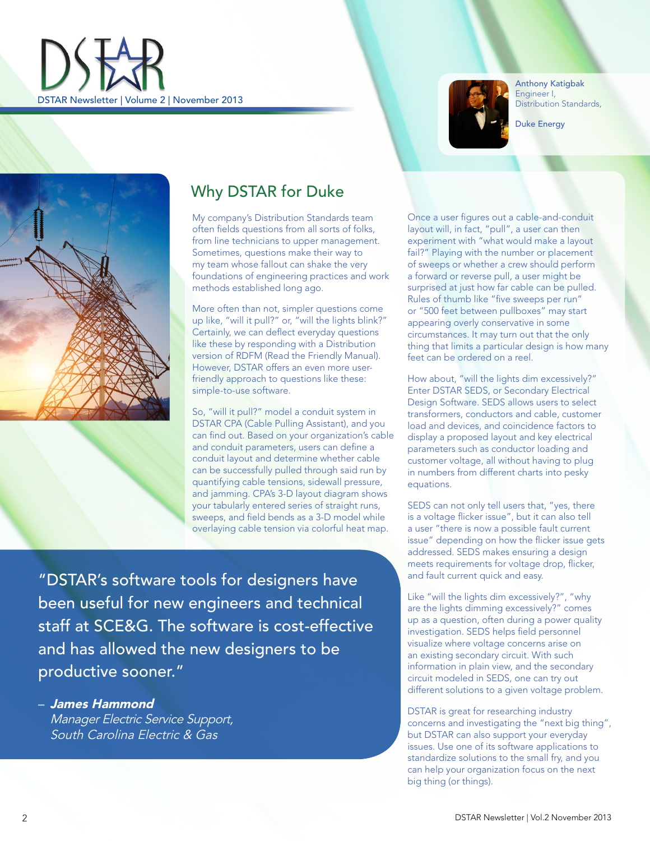



Anthony Katigbak Engineer I, Distribution Standards,

Duke Energy



# Why DSTAR for Duke

My company's Distribution Standards team often fields questions from all sorts of folks, from line technicians to upper management. Sometimes, questions make their way to my team whose fallout can shake the very foundations of engineering practices and work methods established long ago.

More often than not, simpler questions come up like, "will it pull?" or, "will the lights blink?" Certainly, we can deflect everyday questions like these by responding with a Distribution version of RDFM (Read the Friendly Manual). However, DSTAR offers an even more userfriendly approach to questions like these: simple-to-use software.

So, "will it pull?" model a conduit system in DSTAR CPA (Cable Pulling Assistant), and you can find out. Based on your organization's cable and conduit parameters, users can define a conduit layout and determine whether cable can be successfully pulled through said run by quantifying cable tensions, sidewall pressure, and jamming. CPA's 3-D layout diagram shows your tabularly entered series of straight runs, sweeps, and field bends as a 3-D model while overlaying cable tension via colorful heat map.

"DSTAR's software tools for designers have been useful for new engineers and technical staff at SCE&G. The software is cost-effective and has allowed the new designers to be productive sooner."

– James Hammond Manager Electric Service Support, South Carolina Electric & Gas

Once a user figures out a cable-and-conduit layout will, in fact, "pull", a user can then experiment with "what would make a layout fail?" Playing with the number or placement of sweeps or whether a crew should perform a forward or reverse pull, a user might be surprised at just how far cable can be pulled. Rules of thumb like "five sweeps per run" or "500 feet between pullboxes" may start appearing overly conservative in some circumstances. It may turn out that the only thing that limits a particular design is how many feet can be ordered on a reel.

How about, "will the lights dim excessively?" Enter DSTAR SEDS, or Secondary Electrical Design Software. SEDS allows users to select transformers, conductors and cable, customer load and devices, and coincidence factors to display a proposed layout and key electrical parameters such as conductor loading and customer voltage, all without having to plug in numbers from different charts into pesky equations.

SEDS can not only tell users that, "yes, there is a voltage flicker issue", but it can also tell a user "there is now a possible fault current issue" depending on how the flicker issue gets addressed. SEDS makes ensuring a design meets requirements for voltage drop, flicker, and fault current quick and easy.

Like "will the lights dim excessively?", "why are the lights dimming excessively?" comes up as a question, often during a power quality investigation. SEDS helps field personnel visualize where voltage concerns arise on an existing secondary circuit. With such information in plain view, and the secondary circuit modeled in SEDS, one can try out different solutions to a given voltage problem.

DSTAR is great for researching industry concerns and investigating the "next big thing", but DSTAR can also support your everyday issues. Use one of its software applications to standardize solutions to the small fry, and you can help your organization focus on the next big thing (or things).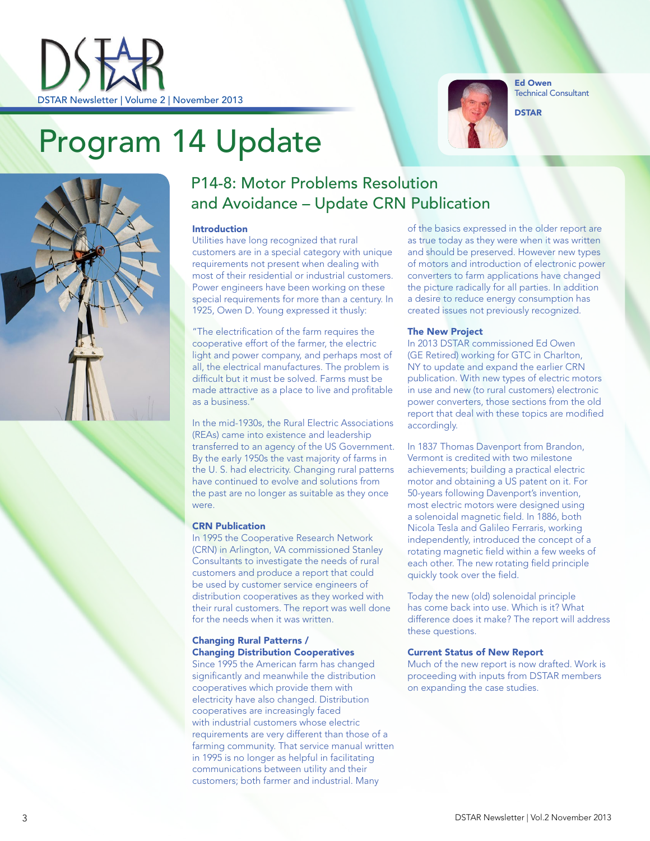DSTAR Newsletter | Volume 2 | November 2013

Ed Owen Technical Consultant DSTAR

# Program 14 Update



## P14-8: Motor Problems Resolution and Avoidance – Update CRN Publication

### Introduction

Utilities have long recognized that rural customers are in a special category with unique requirements not present when dealing with most of their residential or industrial customers. Power engineers have been working on these special requirements for more than a century. In 1925, Owen D. Young expressed it thusly:

"The electrification of the farm requires the cooperative effort of the farmer, the electric light and power company, and perhaps most of all, the electrical manufactures. The problem is difficult but it must be solved. Farms must be made attractive as a place to live and profitable as a business."

In the mid-1930s, the Rural Electric Associations (REAs) came into existence and leadership transferred to an agency of the US Government. By the early 1950s the vast majority of farms in the U. S. had electricity. Changing rural patterns have continued to evolve and solutions from the past are no longer as suitable as they once were.

## CRN Publication

In 1995 the Cooperative Research Network (CRN) in Arlington, VA commissioned Stanley Consultants to investigate the needs of rural customers and produce a report that could be used by customer service engineers of distribution cooperatives as they worked with their rural customers. The report was well done for the needs when it was written.

### Changing Rural Patterns / Changing Distribution Cooperatives

Since 1995 the American farm has changed significantly and meanwhile the distribution cooperatives which provide them with electricity have also changed. Distribution cooperatives are increasingly faced with industrial customers whose electric requirements are very different than those of a farming community. That service manual written in 1995 is no longer as helpful in facilitating communications between utility and their customers; both farmer and industrial. Many

of the basics expressed in the older report are as true today as they were when it was written and should be preserved. However new types of motors and introduction of electronic power converters to farm applications have changed the picture radically for all parties. In addition a desire to reduce energy consumption has created issues not previously recognized.

### The New Project

In 2013 DSTAR commissioned Ed Owen (GE Retired) working for GTC in Charlton, NY to update and expand the earlier CRN publication. With new types of electric motors in use and new (to rural customers) electronic power converters, those sections from the old report that deal with these topics are modified accordingly.

In 1837 Thomas Davenport from Brandon, Vermont is credited with two milestone achievements; building a practical electric motor and obtaining a US patent on it. For 50-years following Davenport's invention, most electric motors were designed using a solenoidal magnetic field. In 1886, both Nicola Tesla and Galileo Ferraris, working independently, introduced the concept of a rotating magnetic field within a few weeks of each other. The new rotating field principle quickly took over the field.

Today the new (old) solenoidal principle has come back into use. Which is it? What difference does it make? The report will address these questions.

### Current Status of New Report

Much of the new report is now drafted. Work is proceeding with inputs from DSTAR members on expanding the case studies.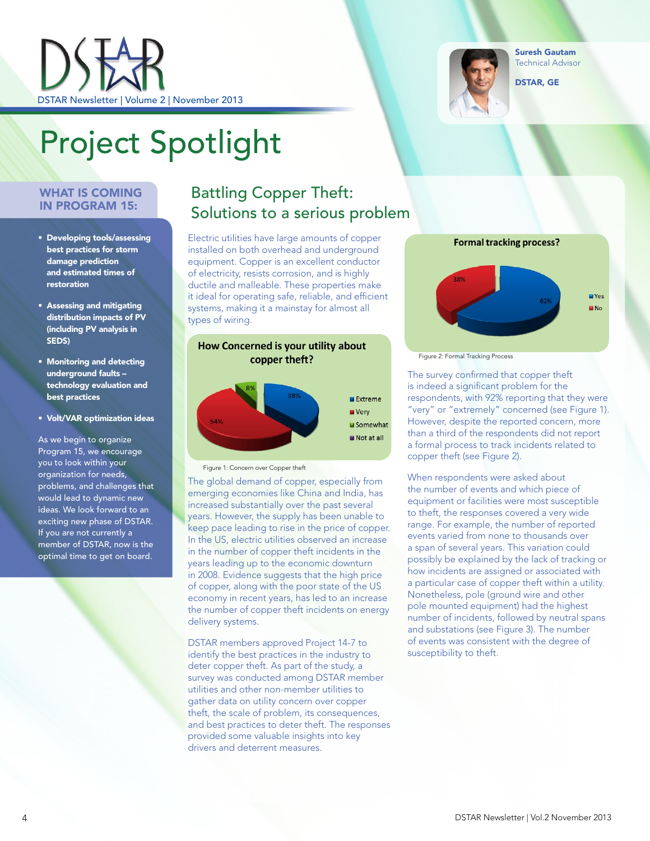DSTAR Newsletter | Volume 2 | November 2013



Suresh Gautam Technical Advisor

DSTAR, GE

# Project Spotlight

### WHAT IS COMING in Program 15:

- • Developing tools/assessing best practices for storm damage prediction and estimated times of restoration
- • Assessing and mitigating distribution impacts of PV (including PV analysis in SEDS)
- • Monitoring and detecting underground faults – technology evaluation and best practices
- • Volt/VAR optimization ideas

As we begin to organize Program 15, we encourage you to look within your organization for needs, problems, and challenges that would lead to dynamic new ideas. We look forward to an exciting new phase of DSTAR. If you are not currently a member of DSTAR, now is the optimal time to get on board.

# Battling Copper Theft: Solutions to a serious problem

Electric utilities have large amounts of copper installed on both overhead and underground equipment. Copper is an excellent conductor of electricity, resists corrosion, and is highly ductile and malleable. These properties make it ideal for operating safe, reliable, and efficient systems, making it a mainstay for almost all types of wiring.



Figure 1: Concern over Copper theft

The global demand of copper, especially from emerging economies like China and India, has increased substantially over the past several years. However, the supply has been unable to keep pace leading to rise in the price of copper. In the US, electric utilities observed an increase in the number of copper theft incidents in the years leading up to the economic downturn in 2008. Evidence suggests that the high price of copper, along with the poor state of the US economy in recent years, has led to an increase the number of copper theft incidents on energy delivery systems.

DSTAR members approved Project 14-7 to identify the best practices in the industry to deter copper theft. As part of the study, a survey was conducted among DSTAR member utilities and other non-member utilities to gather data on utility concern over copper theft, the scale of problem, its consequences, and best practices to deter theft. The responses provided some valuable insights into key drivers and deterrent measures.



Figure 2: Formal Tracking Process

The survey confirmed that copper theft is indeed a significant problem for the respondents, with 92% reporting that they were "very" or "extremely" concerned (see Figure 1). However, despite the reported concern, more than a third of the respondents did not report a formal process to track incidents related to copper theft (see Figure 2).

When respondents were asked about the number of events and which piece of equipment or facilities were most susceptible to theft, the responses covered a very wide range. For example, the number of reported events varied from none to thousands over a span of several years. This variation could possibly be explained by the lack of tracking or how incidents are assigned or associated with a particular case of copper theft within a utility. Nonetheless, pole (ground wire and other pole mounted equipment) had the highest number of incidents, followed by neutral spans and substations (see Figure 3). The number of events was consistent with the degree of susceptibility to theft.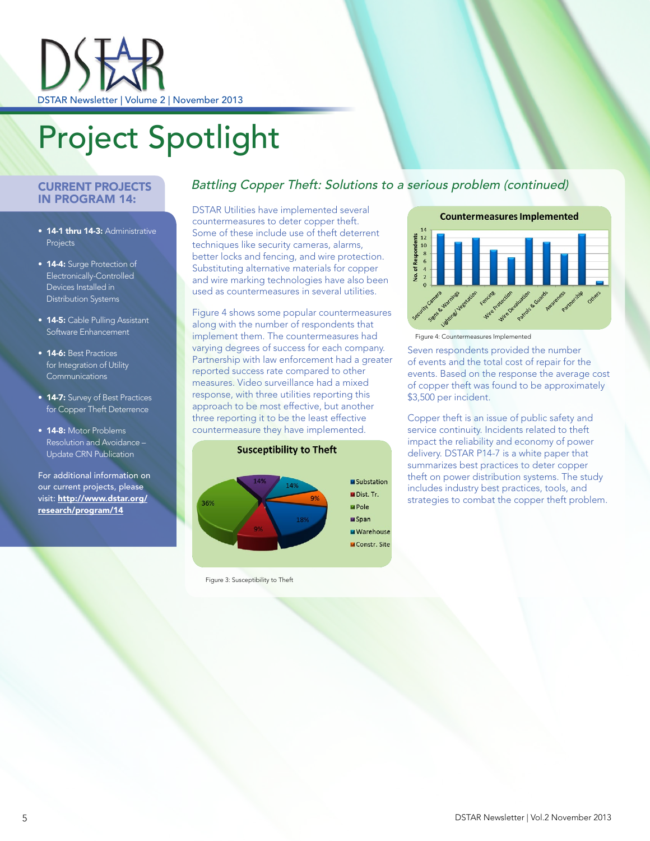

# Project Spotlight

### Current Projects in Program 14:

- 14-1 thru 14-3: Administrative Projects
- 14-4: Surge Protection of Electronically-Controlled Devices Installed in Distribution Systems
- 14-5: Cable Pulling Assistant Software Enhancement
- 14-6: Best Practices for Integration of Utility Communications
- 14-7: Survey of Best Practices for Copper Theft Deterrence
- 14-8: Motor Problems Resolution and Avoidance – Update CRN Publication

For additional information on our current projects, please visit: [http://www.dstar.org/](http://www.dstar.org/research/program/14) [research/program/14](http://www.dstar.org/research/program/14)

## Battling Copper Theft: Solutions to a serious problem (continued)

DSTAR Utilities have implemented several countermeasures to deter copper theft. Some of these include use of theft deterrent techniques like security cameras, alarms, better locks and fencing, and wire protection. Substituting alternative materials for copper and wire marking technologies have also been used as countermeasures in several utilities.

Figure 4 shows some popular countermeasures along with the number of respondents that implement them. The countermeasures had varying degrees of success for each company. Partnership with law enforcement had a greater reported success rate compared to other measures. Video surveillance had a mixed response, with three utilities reporting this approach to be most effective, but another three reporting it to be the least effective countermeasure they have implemented.



Figure 3: Susceptibility to Theft



Figure 4: Countermeasures Implemented

Seven respondents provided the number of events and the total cost of repair for the events. Based on the response the average cost of copper theft was found to be approximately \$3,500 per incident.

Copper theft is an issue of public safety and service continuity. Incidents related to theft impact the reliability and economy of power delivery. DSTAR P14-7 is a white paper that summarizes best practices to deter copper theft on power distribution systems. The study includes industry best practices, tools, and strategies to combat the copper theft problem.